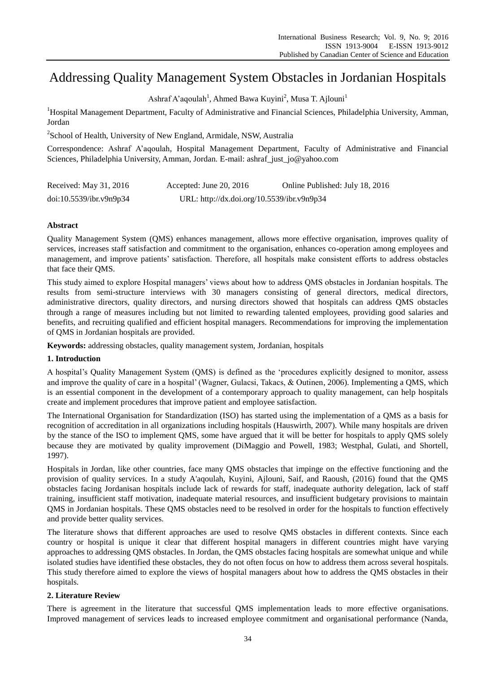# Addressing Quality Management System Obstacles in Jordanian Hospitals

Ashraf A'aqoulah<sup>1</sup>, Ahmed Bawa Kuyini<sup>2</sup>, Musa T. Ajlouni<sup>1</sup>

<sup>1</sup>Hospital Management Department, Faculty of Administrative and Financial Sciences, Philadelphia University, Amman, Jordan

<sup>2</sup>School of Health, University of New England, Armidale, NSW, Australia

Correspondence: Ashraf A'aqoulah, Hospital Management Department, Faculty of Administrative and Financial Sciences, Philadelphia University, Amman, Jordan. E-mail: ashraf\_just\_jo@yahoo.com

| Received: May 31, 2016  | Accepted: June $20, 2016$                  | Online Published: July 18, 2016 |
|-------------------------|--------------------------------------------|---------------------------------|
| doi:10.5539/ibr.v9n9p34 | URL: http://dx.doi.org/10.5539/ibr.v9n9p34 |                                 |

# **Abstract**

Quality Management System (QMS) enhances management, allows more effective organisation, improves quality of services, increases staff satisfaction and commitment to the organisation, enhances co-operation among employees and management, and improve patients' satisfaction. Therefore, all hospitals make consistent efforts to address obstacles that face their QMS.

This study aimed to explore Hospital managers' views about how to address QMS obstacles in Jordanian hospitals. The results from semi-structure interviews with 30 managers consisting of general directors, medical directors, administrative directors, quality directors, and nursing directors showed that hospitals can address QMS obstacles through a range of measures including but not limited to rewarding talented employees, providing good salaries and benefits, and recruiting qualified and efficient hospital managers. Recommendations for improving the implementation of QMS in Jordanian hospitals are provided.

**Keywords:** addressing obstacles, quality management system, Jordanian, hospitals

# **1. Introduction**

A hospital's Quality Management System (QMS) is defined as the 'procedures explicitly designed to monitor, assess and improve the quality of care in a hospital' (Wagner, Gulacsi, Takacs, & Outinen, 2006). Implementing a QMS, which is an essential component in the development of a contemporary approach to quality management, can help hospitals create and implement procedures that improve patient and employee satisfaction.

The International Organisation for Standardization (ISO) has started using the implementation of a QMS as a basis for recognition of accreditation in all organizations including hospitals (Hauswirth, 2007). While many hospitals are driven by the stance of the ISO to implement QMS, some have argued that it will be better for hospitals to apply QMS solely because they are motivated by quality improvement (DiMaggio and Powell, 1983; Westphal, Gulati, and Shortell, 1997).

Hospitals in Jordan, like other countries, face many QMS obstacles that impinge on the effective functioning and the provision of quality services. In a study A'aqoulah, Kuyini, Ajlouni, Saif, and Raoush, (2016) found that the QMS obstacles facing Jordanisan hospitals include lack of rewards for staff, inadequate authority delegation, lack of staff training, insufficient staff motivation, inadequate material resources, and insufficient budgetary provisions to maintain QMS in Jordanian hospitals. These QMS obstacles need to be resolved in order for the hospitals to function effectively and provide better quality services.

The literature shows that different approaches are used to resolve QMS obstacles in different contexts. Since each country or hospital is unique it clear that different hospital managers in different countries might have varying approaches to addressing QMS obstacles. In Jordan, the QMS obstacles facing hospitals are somewhat unique and while isolated studies have identified these obstacles, they do not often focus on how to address them across several hospitals. This study therefore aimed to explore the views of hospital managers about how to address the QMS obstacles in their hospitals.

# **2. Literature Review**

There is agreement in the literature that successful QMS implementation leads to more effective organisations. Improved management of services leads to increased employee commitment and organisational performance (Nanda,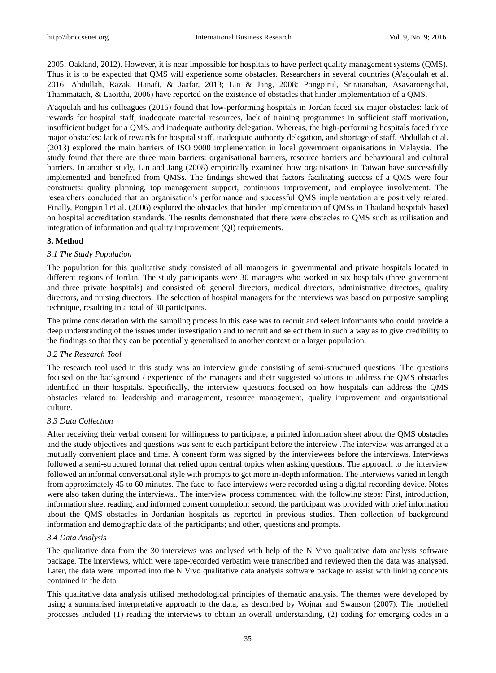2005; Oakland, 2012). However, it is near impossible for hospitals to have perfect quality management systems (QMS). Thus it is to be expected that QMS will experience some obstacles. Researchers in several countries (A'aqoulah et al. 2016; Abdullah, Razak, Hanafi, & Jaafar, 2013; Lin & Jang, 2008; Pongpirul, Sriratanaban, Asavaroengchai, Thammatach, & Laoitthi, 2006) have reported on the existence of obstacles that hinder implementation of a QMS.

A'aqoulah and his colleagues (2016) found that low-performing hospitals in Jordan faced six major obstacles: lack of rewards for hospital staff, inadequate material resources, lack of training programmes in sufficient staff motivation, insufficient budget for a QMS, and inadequate authority delegation. Whereas, the high-performing hospitals faced three major obstacles: lack of rewards for hospital staff, inadequate authority delegation, and shortage of staff. Abdullah et al. (2013) explored the main barriers of ISO 9000 implementation in local government organisations in Malaysia. The study found that there are three main barriers: organisational barriers, resource barriers and behavioural and cultural barriers. In another study, Lin and Jang (2008) empirically examined how organisations in Taiwan have successfully implemented and benefited from QMSs. The findings showed that factors facilitating success of a QMS were four constructs: quality planning, top management support, continuous improvement, and employee involvement. The researchers concluded that an organisation's performance and successful QMS implementation are positively related. Finally, Pongpirul et al. (2006) explored the obstacles that hinder implementation of QMSs in Thailand hospitals based on hospital accreditation standards. The results demonstrated that there were obstacles to QMS such as utilisation and integration of information and quality improvement (QI) requirements.

# **3. Method**

## *3.1 The Study Population*

The population for this qualitative study consisted of all managers in governmental and private hospitals located in different regions of Jordan. The study participants were 30 managers who worked in six hospitals (three government and three private hospitals) and consisted of: general directors, medical directors, administrative directors, quality directors, and nursing directors. The selection of hospital managers for the interviews was based on purposive sampling technique, resulting in a total of 30 participants.

The prime consideration with the sampling process in this case was to recruit and select informants who could provide a deep understanding of the issues under investigation and to recruit and select them in such a way as to give credibility to the findings so that they can be potentially generalised to another context or a larger population.

#### *3.2 The Research Tool*

The research tool used in this study was an interview guide consisting of semi-structured questions. The questions focused on the background / experience of the managers and their suggested solutions to address the QMS obstacles identified in their hospitals. Specifically, the interview questions focused on how hospitals can address the QMS obstacles related to: leadership and management, resource management, quality improvement and organisational culture.

#### *3.3 Data Collection*

After receiving their verbal consent for willingness to participate, a printed information sheet about the QMS obstacles and the study objectives and questions was sent to each participant before the interview .The interview was arranged at a mutually convenient place and time. A consent form was signed by the interviewees before the interviews. Interviews followed a semi-structured format that relied upon central topics when asking questions. The approach to the interview followed an informal conversational style with prompts to get more in-depth information. The interviews varied in length from approximately 45 to 60 minutes. The face-to-face interviews were recorded using a digital recording device. Notes were also taken during the interviews.. The interview process commenced with the following steps: First, introduction, information sheet reading, and informed consent completion; second, the participant was provided with brief information about the QMS obstacles in Jordanian hospitals as reported in previous studies. Then collection of background information and demographic data of the participants; and other, questions and prompts.

#### *3.4 Data Analysis*

The qualitative data from the 30 interviews was analysed with help of the N Vivo qualitative data analysis software package. The interviews, which were tape-recorded verbatim were transcribed and reviewed then the data was analysed. Later, the data were imported into the N Vivo qualitative data analysis software package to assist with linking concepts contained in the data.

This qualitative data analysis utilised methodological principles of thematic analysis. The themes were developed by using a summarised interpretative approach to the data, as described by Wojnar and Swanson (2007). The modelled processes included (1) reading the interviews to obtain an overall understanding, (2) coding for emerging codes in a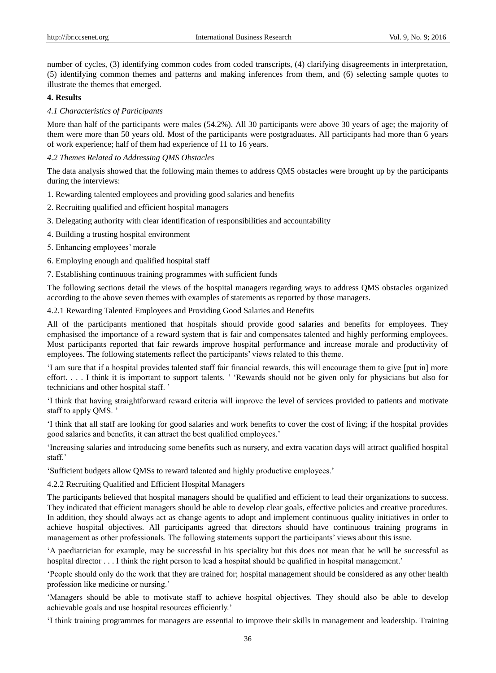number of cycles, (3) identifying common codes from coded transcripts, (4) clarifying disagreements in interpretation, (5) identifying common themes and patterns and making inferences from them, and (6) selecting sample quotes to illustrate the themes that emerged.

# **4. Results**

#### *4.1 Characteristics of Participants*

More than half of the participants were males (54.2%). All 30 participants were above 30 years of age; the majority of them were more than 50 years old. Most of the participants were postgraduates. All participants had more than 6 years of work experience; half of them had experience of 11 to 16 years.

#### *4.2 Themes Related to Addressing QMS Obstacles*

The data analysis showed that the following main themes to address QMS obstacles were brought up by the participants during the interviews:

- 1. Rewarding talented employees and providing good salaries and benefits
- 2. Recruiting qualified and efficient hospital managers
- 3. Delegating authority with clear identification of responsibilities and accountability
- 4. Building a trusting hospital environment
- 5. Enhancing employees' morale
- 6. Employing enough and qualified hospital staff
- 7. Establishing continuous training programmes with sufficient funds

The following sections detail the views of the hospital managers regarding ways to address QMS obstacles organized according to the above seven themes with examples of statements as reported by those managers.

4.2.1 Rewarding Talented Employees and Providing Good Salaries and Benefits

All of the participants mentioned that hospitals should provide good salaries and benefits for employees. They emphasised the importance of a reward system that is fair and compensates talented and highly performing employees. Most participants reported that fair rewards improve hospital performance and increase morale and productivity of employees. The following statements reflect the participants' views related to this theme.

'I am sure that if a hospital provides talented staff fair financial rewards, this will encourage them to give [put in] more effort. . . . I think it is important to support talents. ' 'Rewards should not be given only for physicians but also for technicians and other hospital staff. '

'I think that having straightforward reward criteria will improve the level of services provided to patients and motivate staff to apply QMS. '

'I think that all staff are looking for good salaries and work benefits to cover the cost of living; if the hospital provides good salaries and benefits, it can attract the best qualified employees.'

'Increasing salaries and introducing some benefits such as nursery, and extra vacation days will attract qualified hospital staff.'

'Sufficient budgets allow QMSs to reward talented and highly productive employees.'

4.2.2 Recruiting Qualified and Efficient Hospital Managers

The participants believed that hospital managers should be qualified and efficient to lead their organizations to success. They indicated that efficient managers should be able to develop clear goals, effective policies and creative procedures. In addition, they should always act as change agents to adopt and implement continuous quality initiatives in order to achieve hospital objectives. All participants agreed that directors should have continuous training programs in management as other professionals. The following statements support the participants' views about this issue.

'A paediatrician for example, may be successful in his speciality but this does not mean that he will be successful as hospital director . . . I think the right person to lead a hospital should be qualified in hospital management.'

'People should only do the work that they are trained for; hospital management should be considered as any other health profession like medicine or nursing.'

'Managers should be able to motivate staff to achieve hospital objectives. They should also be able to develop achievable goals and use hospital resources efficiently.'

'I think training programmes for managers are essential to improve their skills in management and leadership. Training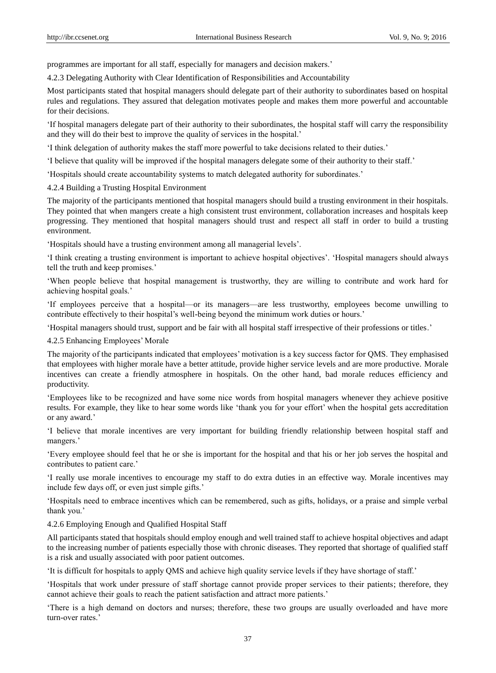programmes are important for all staff, especially for managers and decision makers.'

4.2.3 Delegating Authority with Clear Identification of Responsibilities and Accountability

Most participants stated that hospital managers should delegate part of their authority to subordinates based on hospital rules and regulations. They assured that delegation motivates people and makes them more powerful and accountable for their decisions.

'If hospital managers delegate part of their authority to their subordinates, the hospital staff will carry the responsibility and they will do their best to improve the quality of services in the hospital.'

'I think delegation of authority makes the staff more powerful to take decisions related to their duties.'

'I believe that quality will be improved if the hospital managers delegate some of their authority to their staff.'

'Hospitals should create accountability systems to match delegated authority for subordinates.'

4.2.4 Building a Trusting Hospital Environment

The majority of the participants mentioned that hospital managers should build a trusting environment in their hospitals. They pointed that when mangers create a high consistent trust environment, collaboration increases and hospitals keep progressing. They mentioned that hospital managers should trust and respect all staff in order to build a trusting environment.

'Hospitals should have a trusting environment among all managerial levels'.

'I think creating a trusting environment is important to achieve hospital objectives'. 'Hospital managers should always tell the truth and keep promises.'

'When people believe that hospital management is trustworthy, they are willing to contribute and work hard for achieving hospital goals.'

'If employees perceive that a hospital—or its managers—are less trustworthy, employees become unwilling to contribute effectively to their hospital's well-being beyond the minimum work duties or hours.'

'Hospital managers should trust, support and be fair with all hospital staff irrespective of their professions or titles.'

4.2.5 Enhancing Employees' Morale

The majority of the participants indicated that employees' motivation is a key success factor for QMS. They emphasised that employees with higher morale have a better attitude, provide higher service levels and are more productive. Morale incentives can create a friendly atmosphere in hospitals. On the other hand, bad morale reduces efficiency and productivity.

'Employees like to be recognized and have some nice words from hospital managers whenever they achieve positive results. For example, they like to hear some words like 'thank you for your effort' when the hospital gets accreditation or any award.'

'I believe that morale incentives are very important for building friendly relationship between hospital staff and mangers.'

'Every employee should feel that he or she is important for the hospital and that his or her job serves the hospital and contributes to patient care.'

'I really use morale incentives to encourage my staff to do extra duties in an effective way. Morale incentives may include few days off, or even just simple gifts.'

'Hospitals need to embrace incentives which can be remembered, such as gifts, holidays, or a praise and simple verbal thank you.'

4.2.6 Employing Enough and Qualified Hospital Staff

All participants stated that hospitals should employ enough and well trained staff to achieve hospital objectives and adapt to the increasing number of patients especially those with chronic diseases. They reported that shortage of qualified staff is a risk and usually associated with poor patient outcomes.

'It is difficult for hospitals to apply QMS and achieve high quality service levels if they have shortage of staff.'

'Hospitals that work under pressure of staff shortage cannot provide proper services to their patients; therefore, they cannot achieve their goals to reach the patient satisfaction and attract more patients.'

'There is a high demand on doctors and nurses; therefore, these two groups are usually overloaded and have more turn-over rates.'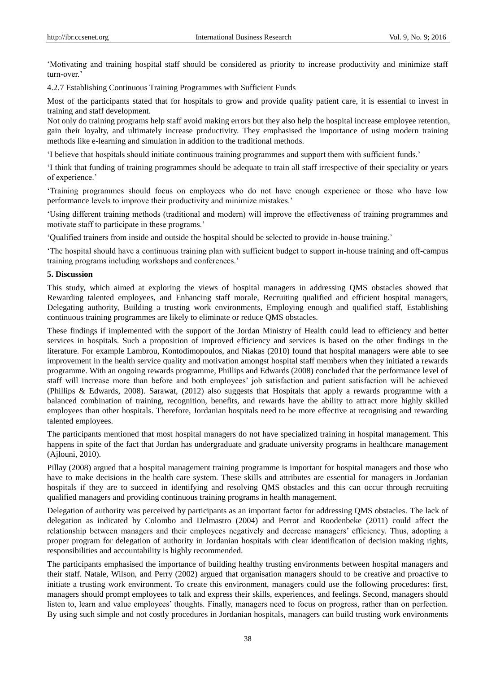'Motivating and training hospital staff should be considered as priority to increase productivity and minimize staff turn-over.'

4.2.7 Establishing Continuous Training Programmes with Sufficient Funds

Most of the participants stated that for hospitals to grow and provide quality patient care, it is essential to invest in training and staff development.

Not only do training programs help staff avoid making errors but they also help the hospital increase employee retention, gain their loyalty, and ultimately increase productivity. They emphasised the importance of using modern training methods like e-learning and simulation in addition to the traditional methods.

'I believe that hospitals should initiate continuous training programmes and support them with sufficient funds.'

'I think that funding of training programmes should be adequate to train all staff irrespective of their speciality or years of experience.'

'Training programmes should focus on employees who do not have enough experience or those who have low performance levels to improve their productivity and minimize mistakes.'

'Using different training methods (traditional and modern) will improve the effectiveness of training programmes and motivate staff to participate in these programs.'

'Qualified trainers from inside and outside the hospital should be selected to provide in-house training.'

'The hospital should have a continuous training plan with sufficient budget to support in-house training and off-campus training programs including workshops and conferences.'

## **5. Discussion**

This study, which aimed at exploring the views of hospital managers in addressing QMS obstacles showed that Rewarding talented employees, and Enhancing staff morale, Recruiting qualified and efficient hospital managers, Delegating authority, Building a trusting work environments, Employing enough and qualified staff, Establishing continuous training programmes are likely to eliminate or reduce QMS obstacles.

These findings if implemented with the support of the Jordan Ministry of Health could lead to efficiency and better services in hospitals. Such a proposition of improved efficiency and services is based on the other findings in the literature. For example Lambrou, Kontodimopoulos, and Niakas (2010) found that hospital managers were able to see improvement in the health service quality and motivation amongst hospital staff members when they initiated a rewards programme. With an ongoing rewards programme, Phillips and Edwards (2008) concluded that the performance level of staff will increase more than before and both employees' job satisfaction and patient satisfaction will be achieved (Phillips & Edwards, 2008). Sarawat, (2012) also suggests that Hospitals that apply a rewards programme with a balanced combination of training, recognition, benefits, and rewards have the ability to attract more highly skilled employees than other hospitals. Therefore, Jordanian hospitals need to be more effective at recognising and rewarding talented employees.

The participants mentioned that most hospital managers do not have specialized training in hospital management. This happens in spite of the fact that Jordan has undergraduate and graduate university programs in healthcare management (Ajlouni, 2010).

Pillay (2008) argued that a hospital management training programme is important for hospital managers and those who have to make decisions in the health care system. These skills and attributes are essential for managers in Jordanian hospitals if they are to succeed in identifying and resolving QMS obstacles and this can occur through recruiting qualified managers and providing continuous training programs in health management.

Delegation of authority was perceived by participants as an important factor for addressing QMS obstacles. The lack of delegation as indicated by Colombo and Delmastro (2004) and Perrot and Roodenbeke (2011) could affect the relationship between managers and their employees negatively and decrease managers' efficiency. Thus, adopting a proper program for delegation of authority in Jordanian hospitals with clear identification of decision making rights, responsibilities and accountability is highly recommended.

The participants emphasised the importance of building healthy trusting environments between hospital managers and their staff. Natale, Wilson, and Perry (2002) argued that organisation managers should to be creative and proactive to initiate a trusting work environment. To create this environment, managers could use the following procedures: first, managers should prompt employees to talk and express their skills, experiences, and feelings. Second, managers should listen to, learn and value employees' thoughts. Finally, managers need to focus on progress, rather than on perfection. By using such simple and not costly procedures in Jordanian hospitals, managers can build trusting work environments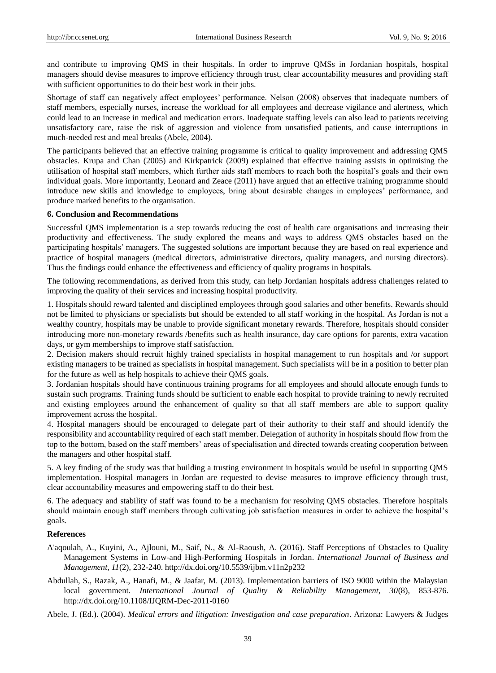and contribute to improving QMS in their hospitals. In order to improve QMSs in Jordanian hospitals, hospital managers should devise measures to improve efficiency through trust, clear accountability measures and providing staff with sufficient opportunities to do their best work in their jobs.

Shortage of staff can negatively affect employees' performance. Nelson (2008) observes that inadequate numbers of staff members, especially nurses, increase the workload for all employees and decrease vigilance and alertness, which could lead to an increase in medical and medication errors. Inadequate staffing levels can also lead to patients receiving unsatisfactory care, raise the risk of aggression and violence from unsatisfied patients, and cause interruptions in much-needed rest and meal breaks (Abele, 2004).

The participants believed that an effective training programme is critical to quality improvement and addressing QMS obstacles. Krupa and Chan (2005) and Kirkpatrick (2009) explained that effective training assists in optimising the utilisation of hospital staff members, which further aids staff members to reach both the hospital's goals and their own individual goals. More importantly, Leonard and Zeace (2011) have argued that an effective training programme should introduce new skills and knowledge to employees, bring about desirable changes in employees' performance, and produce marked benefits to the organisation.

### **6. Conclusion and Recommendations**

Successful QMS implementation is a step towards reducing the cost of health care organisations and increasing their productivity and effectiveness. The study explored the means and ways to address QMS obstacles based on the participating hospitals' managers. The suggested solutions are important because they are based on real experience and practice of hospital managers (medical directors, administrative directors, quality managers, and nursing directors). Thus the findings could enhance the effectiveness and efficiency of quality programs in hospitals.

The following recommendations, as derived from this study, can help Jordanian hospitals address challenges related to improving the quality of their services and increasing hospital productivity.

1. Hospitals should reward talented and disciplined employees through good salaries and other benefits. Rewards should not be limited to physicians or specialists but should be extended to all staff working in the hospital. As Jordan is not a wealthy country, hospitals may be unable to provide significant monetary rewards. Therefore, hospitals should consider introducing more non-monetary rewards /benefits such as health insurance, day care options for parents, extra vacation days, or gym memberships to improve staff satisfaction.

2. Decision makers should recruit highly trained specialists in hospital management to run hospitals and /or support existing managers to be trained as specialists in hospital management. Such specialists will be in a position to better plan for the future as well as help hospitals to achieve their QMS goals.

3. Jordanian hospitals should have continuous training programs for all employees and should allocate enough funds to sustain such programs. Training funds should be sufficient to enable each hospital to provide training to newly recruited and existing employees around the enhancement of quality so that all staff members are able to support quality improvement across the hospital.

4. Hospital managers should be encouraged to delegate part of their authority to their staff and should identify the responsibility and accountability required of each staff member. Delegation of authority in hospitals should flow from the top to the bottom, based on the staff members' areas of specialisation and directed towards creating cooperation between the managers and other hospital staff.

5. A key finding of the study was that building a trusting environment in hospitals would be useful in supporting QMS implementation. Hospital managers in Jordan are requested to devise measures to improve efficiency through trust, clear accountability measures and empowering staff to do their best.

6. The adequacy and stability of staff was found to be a mechanism for resolving QMS obstacles. Therefore hospitals should maintain enough staff members through cultivating job satisfaction measures in order to achieve the hospital's goals.

## **References**

- A'aqoulah, A., Kuyini, A., Ajlouni, M., Saif, N., & Al-Raoush, A. (2016). [Staff Perceptions of Obstacles to Quality](http://scholar.google.com/scholar_url?url=http%3A%2F%2Fsearch.proquest.com%2Fopenview%2F189b2bc0843176cde508d297fe4307e8%2F1%3Fpq-origsite%3Dgscholar%26cbl%3D307069&hl=en&sa=T&ei=LinwVry_LIyx2AaslbToBA&scisig=AAGBfm0IvBj2erGblLcfBRt68zkkWCq8iw&nossl=1&ws=1280x587)  [Management Systems in Low-and High-Performing Hospitals in Jordan.](http://scholar.google.com/scholar_url?url=http%3A%2F%2Fsearch.proquest.com%2Fopenview%2F189b2bc0843176cde508d297fe4307e8%2F1%3Fpq-origsite%3Dgscholar%26cbl%3D307069&hl=en&sa=T&ei=LinwVry_LIyx2AaslbToBA&scisig=AAGBfm0IvBj2erGblLcfBRt68zkkWCq8iw&nossl=1&ws=1280x587) *International Journal of Business and Management, 11*(2), 232-240. http://dx.doi.org/10.5539/ijbm.v11n2p232
- Abdullah, S., Razak, A., Hanafi, M., & Jaafar, M. (2013). Implementation barriers of ISO 9000 within the Malaysian local government. *International Journal of Quality & Reliability Management, 30*(8), 853-876. http://dx.doi.org/10.1108/IJQRM-Dec-2011-0160

Abele, J. (Ed.). (2004). *Medical errors and litigation: Investigation and case preparation*. Arizona: Lawyers & Judges